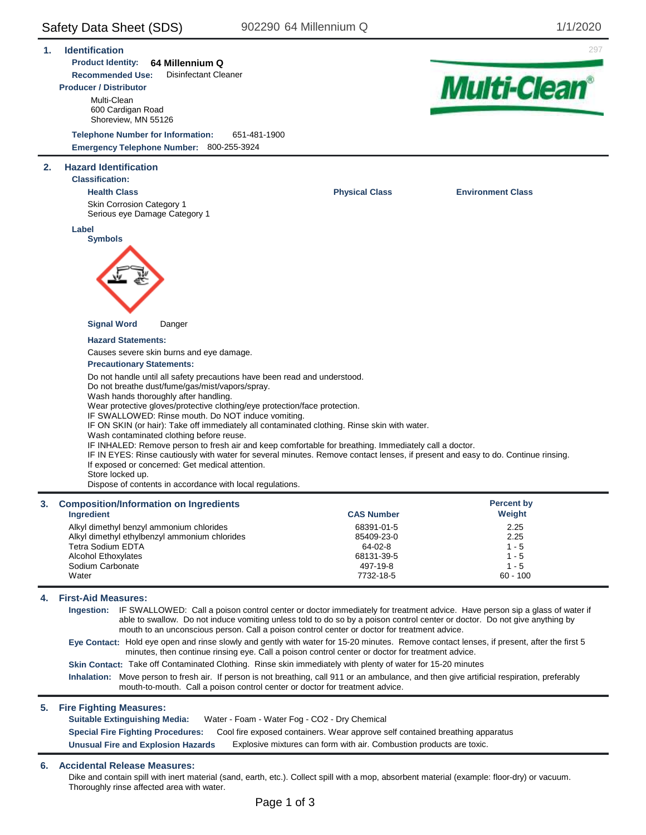Safety Data Sheet (SDS) 902290 64 Millennium Q 1/1/2020 **1. Identification** 297 **Product Identity: 64 Millennium Q Recommended Use:** Disinfectant Cleaner **Multi-Clean® Producer / Distributor** Multi-Clean 600 Cardigan Road Shoreview, MN 55126 **Telephone Number for Information:** 651-481-1900 **Emergency Telephone Number:** 800-255-3924 **2. Hazard Identification Classification: Health Class Physical Class Environment Class** Skin Corrosion Category 1 Serious eye Damage Category 1 **Label Symbols Signal Word** Danger **Hazard Statements:** Causes severe skin burns and eye damage. **Precautionary Statements:** Do not handle until all safety precautions have been read and understood. Do not breathe dust/fume/gas/mist/vapors/spray. Wash hands thoroughly after handling. Wear protective gloves/protective clothing/eye protection/face protection. IF SWALLOWED: Rinse mouth. Do NOT induce vomiting. IF ON SKIN (or hair): Take off immediately all contaminated clothing. Rinse skin with water. Wash contaminated clothing before reuse. IF INHALED: Remove person to fresh air and keep comfortable for breathing. Immediately call a doctor. IF IN EYES: Rinse cautiously with water for several minutes. Remove contact lenses, if present and easy to do. Continue rinsing. If exposed or concerned: Get medical attention. Store locked up. Dispose of contents in accordance with local regulations. **Percent by 3. Composition/Information on Ingredients CAS Number Weight Ingredient** 68391-01-5 Alkyl dimethyl benzyl ammonium chlorides 2.25 Alkyl dimethyl ethylbenzyl ammonium chlorides 85409-23-0 2.25 Tetra Sodium EDTA 64-02-8  $1 - 5$ Alcohol Ethoxylates 68131-39-5  $1 - 5$ Sodium Carbonate 497-19-8  $1 - 5$ **Water** 7732-18-5 60 - 100 **4. First-Aid Measures: Ingestion:** IF SWALLOWED: Call a poison control center or doctor immediately for treatment advice. Have person sip a glass of water if able to swallow. Do not induce vomiting unless told to do so by a poison control center or doctor. Do not give anything by mouth to an unconscious person. Call a poison control center or doctor for treatment advice.

**Eye Contact:** Hold eye open and rinse slowly and gently with water for 15-20 minutes. Remove contact lenses, if present, after the first 5 minutes, then continue rinsing eye. Call a poison control center or doctor for treatment advice.

**Skin Contact:** Take off Contaminated Clothing. Rinse skin immediately with plenty of water for 15-20 minutes

**Inhalation:** Move person to fresh air. If person is not breathing, call 911 or an ambulance, and then give artificial respiration, preferably mouth-to-mouth. Call a poison control center or doctor for treatment advice.

#### **5. Fire Fighting Measures:**

**Suitable Extinguishing Media:** Water - Foam - Water Fog - CO2 - Dry Chemical **Special Fire Fighting Procedures:** Cool fire exposed containers. Wear approve self contained breathing apparatus **Unusual Fire and Explosion Hazards** Explosive mixtures can form with air. Combustion products are toxic.

#### **6. Accidental Release Measures:**

Dike and contain spill with inert material (sand, earth, etc.). Collect spill with a mop, absorbent material (example: floor-dry) or vacuum. Thoroughly rinse affected area with water.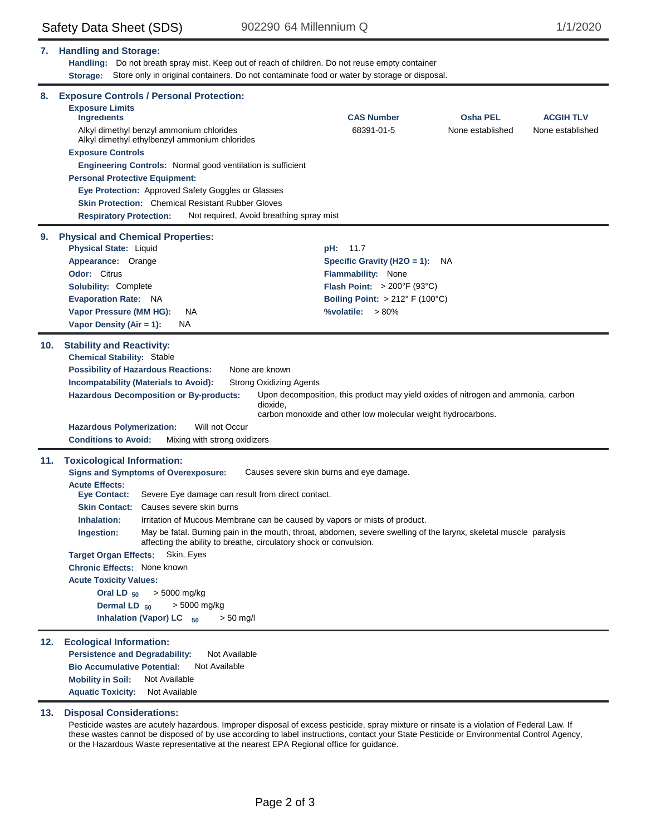| 7.  | <b>Handling and Storage:</b><br>Handling: Do not breath spray mist. Keep out of reach of children. Do not reuse empty container<br>Store only in original containers. Do not contaminate food or water by storage or disposal.<br>Storage:                                                                                                                                                                                                                                                                                                                                                                                                                                                                                                                                                 |                                                                                                                                                                                                 |                                     |                                      |  |  |
|-----|--------------------------------------------------------------------------------------------------------------------------------------------------------------------------------------------------------------------------------------------------------------------------------------------------------------------------------------------------------------------------------------------------------------------------------------------------------------------------------------------------------------------------------------------------------------------------------------------------------------------------------------------------------------------------------------------------------------------------------------------------------------------------------------------|-------------------------------------------------------------------------------------------------------------------------------------------------------------------------------------------------|-------------------------------------|--------------------------------------|--|--|
| 8.  | <b>Exposure Controls / Personal Protection:</b><br><b>Exposure Limits</b><br><b>Ingredients</b><br>Alkyl dimethyl benzyl ammonium chlorides<br>Alkyl dimethyl ethylbenzyl ammonium chlorides<br><b>Exposure Controls</b><br>Engineering Controls: Normal good ventilation is sufficient<br><b>Personal Protective Equipment:</b><br>Eye Protection: Approved Safety Goggles or Glasses<br><b>Skin Protection:</b> Chemical Resistant Rubber Gloves<br><b>Respiratory Protection:</b><br>Not required, Avoid breathing spray mist                                                                                                                                                                                                                                                           | <b>CAS Number</b><br>68391-01-5                                                                                                                                                                 | <b>Osha PEL</b><br>None established | <b>ACGIH TLV</b><br>None established |  |  |
| 9.  | <b>Physical and Chemical Properties:</b><br><b>Physical State: Liquid</b><br>Appearance: Orange<br>Odor: Citrus<br>Solubility: Complete<br><b>Evaporation Rate: NA</b><br>Vapor Pressure (MM HG):<br>NA<br>Vapor Density (Air = 1):<br>NA.                                                                                                                                                                                                                                                                                                                                                                                                                                                                                                                                                 | 11.7<br>pH:<br>Specific Gravity (H2O = 1): $NA$<br>Flammability: None<br>Flash Point: $>200^{\circ}F(93^{\circ}C)$<br>Boiling Point: $> 212^{\circ}$ F (100 $^{\circ}$ C)<br>%volatile: $>80\%$ |                                     |                                      |  |  |
| 10. | <b>Stability and Reactivity:</b><br><b>Chemical Stability: Stable</b><br><b>Possibility of Hazardous Reactions:</b><br>None are known<br>Incompatability (Materials to Avoid):<br><b>Strong Oxidizing Agents</b><br>Hazardous Decomposition or By-products:<br>Upon decomposition, this product may yield oxides of nitrogen and ammonia, carbon<br>dioxide,<br>carbon monoxide and other low molecular weight hydrocarbons.<br>Will not Occur<br><b>Hazardous Polymerization:</b><br>Mixing with strong oxidizers<br><b>Conditions to Avoid:</b>                                                                                                                                                                                                                                          |                                                                                                                                                                                                 |                                     |                                      |  |  |
| 11. | <b>Toxicological Information:</b><br><b>Signs and Symptoms of Overexposure:</b><br><b>Acute Effects:</b><br>Severe Eye damage can result from direct contact.<br><b>Eye Contact:</b><br><b>Skin Contact:</b> Causes severe skin burns<br>Inhalation:<br>Irritation of Mucous Membrane can be caused by vapors or mists of product.<br>Ingestion:<br>May be fatal. Burning pain in the mouth, throat, abdomen, severe swelling of the larynx, skeletal muscle paralysis<br>affecting the ability to breathe, circulatory shock or convulsion.<br><b>Target Organ Effects:</b><br>Skin, Eyes<br><b>Chronic Effects: None known</b><br><b>Acute Toxicity Values:</b><br>> 5000 mg/kg<br>Oral LD $_{50}$<br>Dermal LD <sub>50</sub><br>> 5000 mg/kg<br>Inhalation (Vapor) LC 50<br>$> 50$ mg/l | Causes severe skin burns and eye damage.                                                                                                                                                        |                                     |                                      |  |  |
| 12. | <b>Ecological Information:</b><br>Not Available<br><b>Persistence and Degradability:</b><br><b>Bio Accumulative Potential:</b><br>Not Available<br><b>Mobility in Soil:</b><br>Not Available<br><b>Aquatic Toxicity:</b><br>Not Available                                                                                                                                                                                                                                                                                                                                                                                                                                                                                                                                                  |                                                                                                                                                                                                 |                                     |                                      |  |  |

## **13. Disposal Considerations:**

Pesticide wastes are acutely hazardous. Improper disposal of excess pesticide, spray mixture or rinsate is a violation of Federal Law. If these wastes cannot be disposed of by use according to label instructions, contact your State Pesticide or Environmental Control Agency, or the Hazardous Waste representative at the nearest EPA Regional office for guidance.